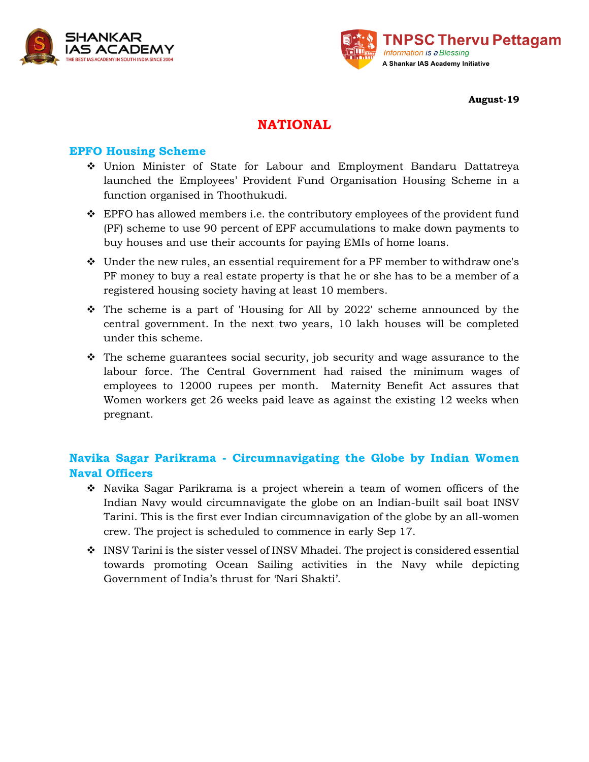



**August-19**

# **NATIONAL**

## **EPFO Housing Scheme**

- Union Minister of State for Labour and Employment Bandaru Dattatreya launched the Employees' Provident Fund Organisation Housing Scheme in a function organised in Thoothukudi.
- $\div$  EPFO has allowed members i.e. the contributory employees of the provident fund (PF) scheme to use 90 percent of EPF accumulations to make down payments to buy houses and use their accounts for paying EMIs of home loans.
- $\div$  Under the new rules, an essential requirement for a PF member to withdraw one's PF money to buy a real estate property is that he or she has to be a member of a registered housing society having at least 10 members.
- $\hat{\cdot}$  The scheme is a part of 'Housing for All by 2022' scheme announced by the central government. In the next two years, 10 lakh houses will be completed under this scheme.
- $\hat{\mathbf{v}}$  The scheme guarantees social security, job security and wage assurance to the labour force. The Central Government had raised the minimum wages of employees to 12000 rupees per month. Maternity Benefit Act assures that Women workers get 26 weeks paid leave as against the existing 12 weeks when pregnant.

## **Navika Sagar Parikrama - Circumnavigating the Globe by Indian Women Naval Officers**

- Navika Sagar Parikrama is a project wherein a team of women officers of the Indian Navy would circumnavigate the globe on an Indian-built sail boat INSV Tarini. This is the first ever Indian circumnavigation of the globe by an all-women crew. The project is scheduled to commence in early Sep 17.
- INSV Tarini is the sister vessel of INSV Mhadei. The project is considered essential towards promoting Ocean Sailing activities in the Navy while depicting Government of India's thrust for 'Nari Shakti'.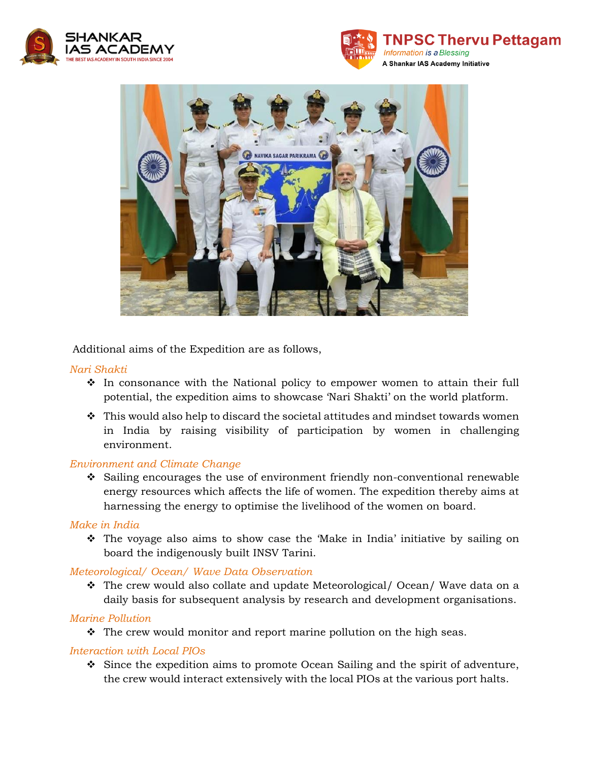





Additional aims of the Expedition are as follows,

### *Nari Shakti*

- $\hat{\mathbf{v}}$  In consonance with the National policy to empower women to attain their full potential, the expedition aims to showcase 'Nari Shakti' on the world platform.
- $\hat{\mathbf{v}}$  This would also help to discard the societal attitudes and mindset towards women in India by raising visibility of participation by women in challenging environment.

#### *Environment and Climate Change*

 $\div$  Sailing encourages the use of environment friendly non-conventional renewable energy resources which affects the life of women. The expedition thereby aims at harnessing the energy to optimise the livelihood of the women on board.

#### *Make in India*

 The voyage also aims to show case the 'Make in India' initiative by sailing on board the indigenously built INSV Tarini.

### *Meteorological/ Ocean/ Wave Data Observation*

 The crew would also collate and update Meteorological/ Ocean/ Wave data on a daily basis for subsequent analysis by research and development organisations.

### *Marine Pollution*

 $\hat{\cdot}$  The crew would monitor and report marine pollution on the high seas.

### *Interaction with Local PIOs*

 $\div$  Since the expedition aims to promote Ocean Sailing and the spirit of adventure, the crew would interact extensively with the local PIOs at the various port halts.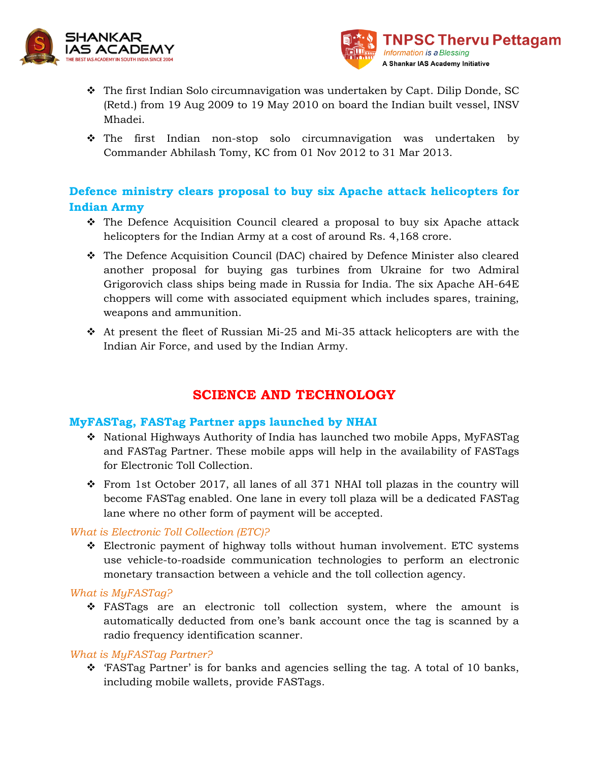



- The first Indian Solo circumnavigation was undertaken by Capt. Dilip Donde, SC (Retd.) from 19 Aug 2009 to 19 May 2010 on board the Indian built vessel, INSV Mhadei.
- The first Indian non-stop solo circumnavigation was undertaken by Commander Abhilash Tomy, KC from 01 Nov 2012 to 31 Mar 2013.

## **Defence ministry clears proposal to buy six Apache attack helicopters for Indian Army**

- The Defence Acquisition Council cleared a proposal to buy six Apache attack helicopters for the Indian Army at a cost of around Rs. 4,168 crore.
- The Defence Acquisition Council (DAC) chaired by Defence Minister also cleared another proposal for buying gas turbines from Ukraine for two Admiral Grigorovich class ships being made in Russia for India. The six Apache AH-64E choppers will come with associated equipment which includes spares, training, weapons and ammunition.
- $\hat{P}$  At present the fleet of Russian Mi-25 and Mi-35 attack helicopters are with the Indian Air Force, and used by the Indian Army.

# **SCIENCE AND TECHNOLOGY**

## **MyFASTag, FASTag Partner apps launched by NHAI**

- $\bullet$  National Highways Authority of India has launched two mobile Apps, MyFASTag and FASTag Partner. These mobile apps will help in the availability of FASTags for Electronic Toll Collection.
- $\div$  From 1st October 2017, all lanes of all 371 NHAI toll plazas in the country will become FASTag enabled. One lane in every toll plaza will be a dedicated FASTag lane where no other form of payment will be accepted.

### *What is Electronic Toll Collection (ETC)?*

 Electronic payment of highway tolls without human involvement. ETC systems use vehicle-to-roadside communication technologies to perform an electronic monetary transaction between a vehicle and the toll collection agency.

### *What is MyFASTag?*

 FASTags are an electronic toll collection system, where the amount is automatically deducted from one's bank account once the tag is scanned by a radio frequency identification scanner.

### *What is MyFASTag Partner?*

 'FASTag Partner' is for banks and agencies selling the tag. A total of 10 banks, including mobile wallets, provide FASTags.